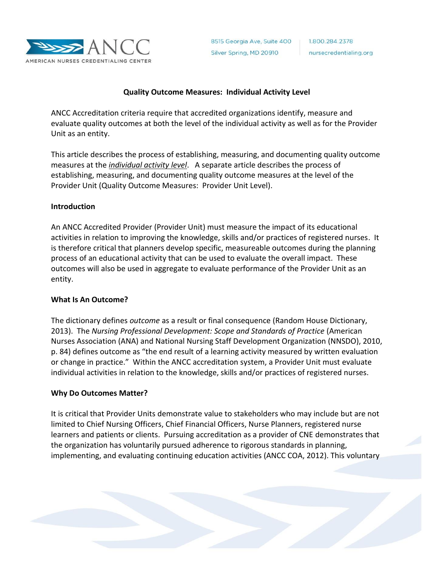

#### **Quality Outcome Measures: Individual Activity Level**

ANCC Accreditation criteria require that accredited organizations identify, measure and evaluate quality outcomes at both the level of the individual activity as well as for the Provider Unit as an entity.

This article describes the process of establishing, measuring, and documenting quality outcome measures at the *individual activity level*. A separate article describes the process of establishing, measuring, and documenting quality outcome measures at the level of the Provider Unit (Quality Outcome Measures: Provider Unit Level).

#### **Introduction**

An ANCC Accredited Provider (Provider Unit) must measure the impact of its educational activities in relation to improving the knowledge, skills and/or practices of registered nurses. It is therefore critical that planners develop specific, measureable outcomes during the planning process of an educational activity that can be used to evaluate the overall impact. These outcomes will also be used in aggregate to evaluate performance of the Provider Unit as an entity.

## **What Is An Outcome?**

The dictionary defines *outcome* as a result or final consequence (Random House Dictionary, 2013). The *Nursing Professional Development: Scope and Standards of Practice* (American Nurses Association (ANA) and National Nursing Staff Development Organization (NNSDO), 2010, p. 84) defines outcome as "the end result of a learning activity measured by written evaluation or change in practice." Within the ANCC accreditation system, a Provider Unit must evaluate individual activities in relation to the knowledge, skills and/or practices of registered nurses.

#### **Why Do Outcomes Matter?**

It is critical that Provider Units demonstrate value to stakeholders who may include but are not limited to Chief Nursing Officers, Chief Financial Officers, Nurse Planners, registered nurse learners and patients or clients. Pursuing accreditation as a provider of CNE demonstrates that the organization has voluntarily pursued adherence to rigorous standards in planning, implementing, and evaluating continuing education activities (ANCC COA, 2012). This voluntary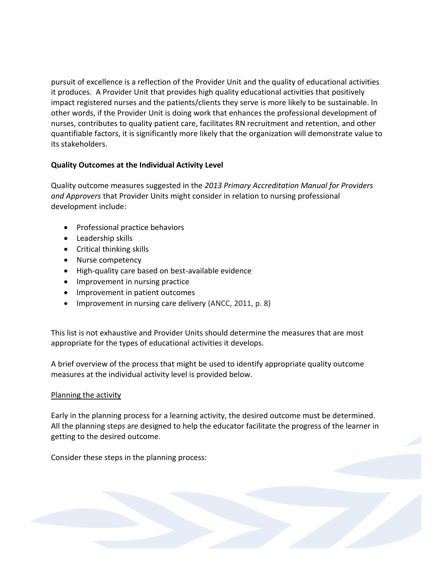pursuit of excellence is a reflection of the Provider Unit and the quality of educational activities it produces. A Provider Unit that provides high quality educational activities that positively impact registered nurses and the patients/clients they serve is more likely to be sustainable. In other words, if the Provider Unit is doing work that enhances the professional development of nurses, contributes to quality patient care, facilitates RN recruitment and retention, and other quantifiable factors, it is significantly more likely that the organization will demonstrate value to its stakeholders.

## **Quality Outcomes at the Individual Activity Level**

Quality outcome measures suggested in the *2013 Primary Accreditation Manual for Providers and Approvers* that Provider Units might consider in relation to nursing professional development include:

- Professional practice behaviors
- Leadership skills
- Critical thinking skills
- Nurse competency
- High-quality care based on best-available evidence
- Improvement in nursing practice
- Improvement in patient outcomes
- Improvement in nursing care delivery (ANCC, 2011, p. 8)

This list is not exhaustive and Provider Units should determine the measures that are most appropriate for the types of educational activities it develops.

A brief overview of the process that might be used to identify appropriate quality outcome measures at the individual activity level is provided below.

# Planning the activity

Early in the planning process for a learning activity, the desired outcome must be determined. All the planning steps are designed to help the educator facilitate the progress of the learner in getting to the desired outcome.

Consider these steps in the planning process: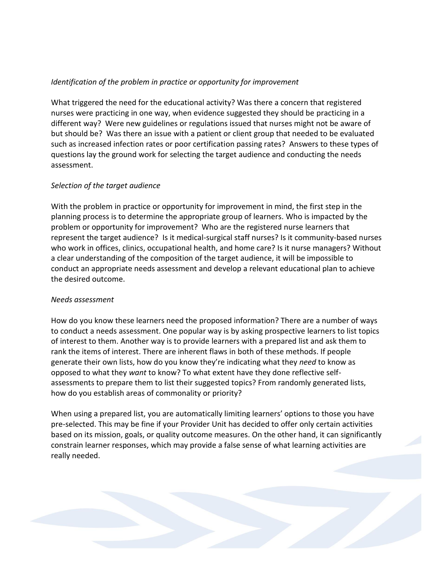## *Identification of the problem in practice or opportunity for improvement*

What triggered the need for the educational activity? Was there a concern that registered nurses were practicing in one way, when evidence suggested they should be practicing in a different way? Were new guidelines or regulations issued that nurses might not be aware of but should be? Was there an issue with a patient or client group that needed to be evaluated such as increased infection rates or poor certification passing rates? Answers to these types of questions lay the ground work for selecting the target audience and conducting the needs assessment.

## *Selection of the target audience*

With the problem in practice or opportunity for improvement in mind, the first step in the planning process is to determine the appropriate group of learners. Who is impacted by the problem or opportunity for improvement? Who are the registered nurse learners that represent the target audience? Is it medical-surgical staff nurses? Is it community-based nurses who work in offices, clinics, occupational health, and home care? Is it nurse managers? Without a clear understanding of the composition of the target audience, it will be impossible to conduct an appropriate needs assessment and develop a relevant educational plan to achieve the desired outcome.

## *Needs assessment*

How do you know these learners need the proposed information? There are a number of ways to conduct a needs assessment. One popular way is by asking prospective learners to list topics of interest to them. Another way is to provide learners with a prepared list and ask them to rank the items of interest. There are inherent flaws in both of these methods. If people generate their own lists, how do you know they're indicating what they *need* to know as opposed to what they *want* to know? To what extent have they done reflective selfassessments to prepare them to list their suggested topics? From randomly generated lists, how do you establish areas of commonality or priority?

When using a prepared list, you are automatically limiting learners' options to those you have pre-selected. This may be fine if your Provider Unit has decided to offer only certain activities based on its mission, goals, or quality outcome measures. On the other hand, it can significantly constrain learner responses, which may provide a false sense of what learning activities are really needed.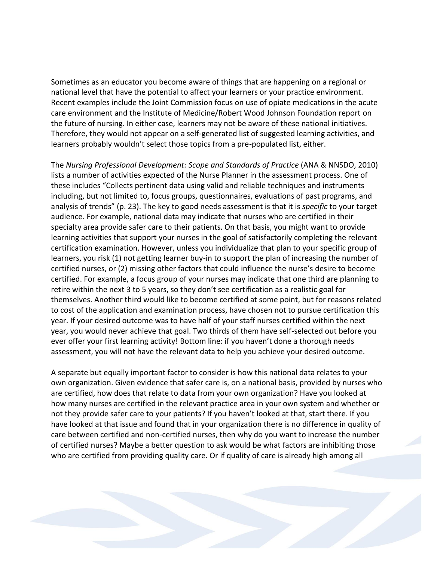Sometimes as an educator you become aware of things that are happening on a regional or national level that have the potential to affect your learners or your practice environment. Recent examples include the Joint Commission focus on use of opiate medications in the acute care environment and the Institute of Medicine/Robert Wood Johnson Foundation report on the future of nursing. In either case, learners may not be aware of these national initiatives. Therefore, they would not appear on a self-generated list of suggested learning activities, and learners probably wouldn't select those topics from a pre-populated list, either.

The *Nursing Professional Development: Scope and Standards of Practice* (ANA & NNSDO, 2010) lists a number of activities expected of the Nurse Planner in the assessment process. One of these includes "Collects pertinent data using valid and reliable techniques and instruments including, but not limited to, focus groups, questionnaires, evaluations of past programs, and analysis of trends" (p. 23). The key to good needs assessment is that it is *specific* to your target audience. For example, national data may indicate that nurses who are certified in their specialty area provide safer care to their patients. On that basis, you might want to provide learning activities that support your nurses in the goal of satisfactorily completing the relevant certification examination. However, unless you individualize that plan to your specific group of learners, you risk (1) not getting learner buy-in to support the plan of increasing the number of certified nurses, or (2) missing other factors that could influence the nurse's desire to become certified. For example, a focus group of your nurses may indicate that one third are planning to retire within the next 3 to 5 years, so they don't see certification as a realistic goal for themselves. Another third would like to become certified at some point, but for reasons related to cost of the application and examination process, have chosen not to pursue certification this year. If your desired outcome was to have half of your staff nurses certified within the next year, you would never achieve that goal. Two thirds of them have self-selected out before you ever offer your first learning activity! Bottom line: if you haven't done a thorough needs assessment, you will not have the relevant data to help you achieve your desired outcome.

A separate but equally important factor to consider is how this national data relates to your own organization. Given evidence that safer care is, on a national basis, provided by nurses who are certified, how does that relate to data from your own organization? Have you looked at how many nurses are certified in the relevant practice area in your own system and whether or not they provide safer care to your patients? If you haven't looked at that, start there. If you have looked at that issue and found that in your organization there is no difference in quality of care between certified and non-certified nurses, then why do you want to increase the number of certified nurses? Maybe a better question to ask would be what factors are inhibiting those who are certified from providing quality care. Or if quality of care is already high among all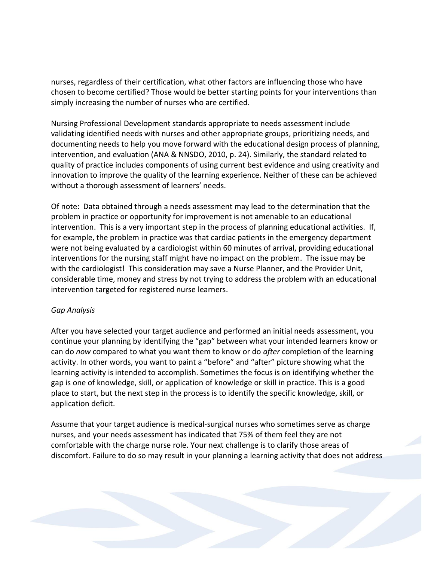nurses, regardless of their certification, what other factors are influencing those who have chosen to become certified? Those would be better starting points for your interventions than simply increasing the number of nurses who are certified.

Nursing Professional Development standards appropriate to needs assessment include validating identified needs with nurses and other appropriate groups, prioritizing needs, and documenting needs to help you move forward with the educational design process of planning, intervention, and evaluation (ANA & NNSDO, 2010, p. 24). Similarly, the standard related to quality of practice includes components of using current best evidence and using creativity and innovation to improve the quality of the learning experience. Neither of these can be achieved without a thorough assessment of learners' needs.

Of note: Data obtained through a needs assessment may lead to the determination that the problem in practice or opportunity for improvement is not amenable to an educational intervention. This is a very important step in the process of planning educational activities. If, for example, the problem in practice was that cardiac patients in the emergency department were not being evaluated by a cardiologist within 60 minutes of arrival, providing educational interventions for the nursing staff might have no impact on the problem. The issue may be with the cardiologist! This consideration may save a Nurse Planner, and the Provider Unit, considerable time, money and stress by not trying to address the problem with an educational intervention targeted for registered nurse learners.

## *Gap Analysis*

After you have selected your target audience and performed an initial needs assessment, you continue your planning by identifying the "gap" between what your intended learners know or can do *now* compared to what you want them to know or do *after* completion of the learning activity. In other words, you want to paint a "before" and "after" picture showing what the learning activity is intended to accomplish. Sometimes the focus is on identifying whether the gap is one of knowledge, skill, or application of knowledge or skill in practice. This is a good place to start, but the next step in the process is to identify the specific knowledge, skill, or application deficit.

Assume that your target audience is medical-surgical nurses who sometimes serve as charge nurses, and your needs assessment has indicated that 75% of them feel they are not comfortable with the charge nurse role. Your next challenge is to clarify those areas of discomfort. Failure to do so may result in your planning a learning activity that does not address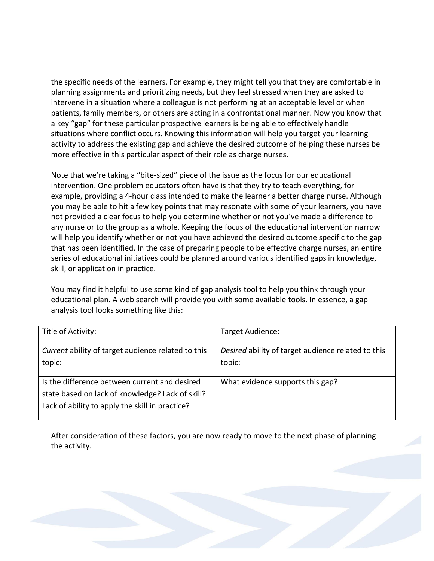the specific needs of the learners. For example, they might tell you that they are comfortable in planning assignments and prioritizing needs, but they feel stressed when they are asked to intervene in a situation where a colleague is not performing at an acceptable level or when patients, family members, or others are acting in a confrontational manner. Now you know that a key "gap" for these particular prospective learners is being able to effectively handle situations where conflict occurs. Knowing this information will help you target your learning activity to address the existing gap and achieve the desired outcome of helping these nurses be more effective in this particular aspect of their role as charge nurses.

Note that we're taking a "bite-sized" piece of the issue as the focus for our educational intervention. One problem educators often have is that they try to teach everything, for example, providing a 4-hour class intended to make the learner a better charge nurse. Although you may be able to hit a few key points that may resonate with some of your learners, you have not provided a clear focus to help you determine whether or not you've made a difference to any nurse or to the group as a whole. Keeping the focus of the educational intervention narrow will help you identify whether or not you have achieved the desired outcome specific to the gap that has been identified. In the case of preparing people to be effective charge nurses, an entire series of educational initiatives could be planned around various identified gaps in knowledge, skill, or application in practice.

You may find it helpful to use some kind of gap analysis tool to help you think through your educational plan. A web search will provide you with some available tools. In essence, a gap analysis tool looks something like this:

| Title of Activity:                                                                                                                                   | Target Audience:                                             |
|------------------------------------------------------------------------------------------------------------------------------------------------------|--------------------------------------------------------------|
| Current ability of target audience related to this<br>topic:                                                                                         | Desired ability of target audience related to this<br>topic: |
| Is the difference between current and desired<br>state based on lack of knowledge? Lack of skill?<br>Lack of ability to apply the skill in practice? | What evidence supports this gap?                             |

After consideration of these factors, you are now ready to move to the next phase of planning the activity.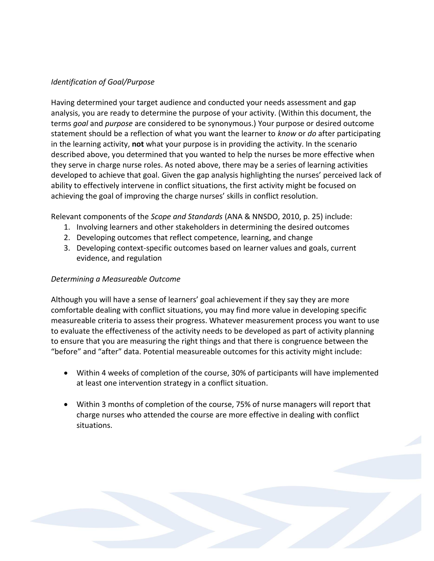## *Identification of Goal/Purpose*

Having determined your target audience and conducted your needs assessment and gap analysis, you are ready to determine the purpose of your activity. (Within this document, the terms *goal* and *purpose* are considered to be synonymous.) Your purpose or desired outcome statement should be a reflection of what you want the learner to *know* or *do* after participating in the learning activity, **not** what your purpose is in providing the activity. In the scenario described above, you determined that you wanted to help the nurses be more effective when they serve in charge nurse roles. As noted above, there may be a series of learning activities developed to achieve that goal. Given the gap analysis highlighting the nurses' perceived lack of ability to effectively intervene in conflict situations, the first activity might be focused on achieving the goal of improving the charge nurses' skills in conflict resolution.

Relevant components of the *Scope and Standards* (ANA & NNSDO, 2010, p. 25) include:

- 1. Involving learners and other stakeholders in determining the desired outcomes
- 2. Developing outcomes that reflect competence, learning, and change
- 3. Developing context-specific outcomes based on learner values and goals, current evidence, and regulation

## *Determining a Measureable Outcome*

Although you will have a sense of learners' goal achievement if they say they are more comfortable dealing with conflict situations, you may find more value in developing specific measureable criteria to assess their progress. Whatever measurement process you want to use to evaluate the effectiveness of the activity needs to be developed as part of activity planning to ensure that you are measuring the right things and that there is congruence between the "before" and "after" data. Potential measureable outcomes for this activity might include:

- Within 4 weeks of completion of the course, 30% of participants will have implemented at least one intervention strategy in a conflict situation.
- Within 3 months of completion of the course, 75% of nurse managers will report that charge nurses who attended the course are more effective in dealing with conflict situations.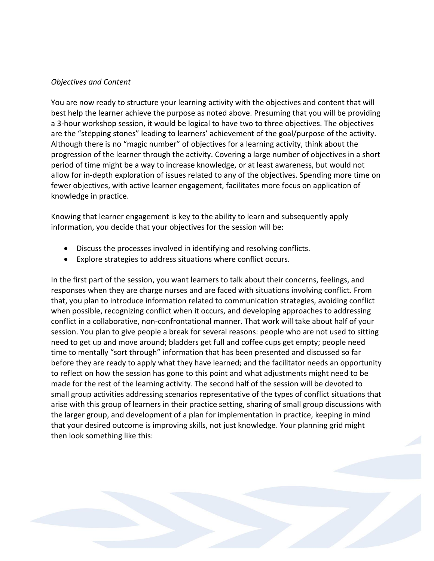#### *Objectives and Content*

You are now ready to structure your learning activity with the objectives and content that will best help the learner achieve the purpose as noted above. Presuming that you will be providing a 3-hour workshop session, it would be logical to have two to three objectives. The objectives are the "stepping stones" leading to learners' achievement of the goal/purpose of the activity. Although there is no "magic number" of objectives for a learning activity, think about the progression of the learner through the activity. Covering a large number of objectives in a short period of time might be a way to increase knowledge, or at least awareness, but would not allow for in-depth exploration of issues related to any of the objectives. Spending more time on fewer objectives, with active learner engagement, facilitates more focus on application of knowledge in practice.

Knowing that learner engagement is key to the ability to learn and subsequently apply information, you decide that your objectives for the session will be:

- Discuss the processes involved in identifying and resolving conflicts.
- Explore strategies to address situations where conflict occurs.

In the first part of the session, you want learners to talk about their concerns, feelings, and responses when they are charge nurses and are faced with situations involving conflict. From that, you plan to introduce information related to communication strategies, avoiding conflict when possible, recognizing conflict when it occurs, and developing approaches to addressing conflict in a collaborative, non-confrontational manner. That work will take about half of your session. You plan to give people a break for several reasons: people who are not used to sitting need to get up and move around; bladders get full and coffee cups get empty; people need time to mentally "sort through" information that has been presented and discussed so far before they are ready to apply what they have learned; and the facilitator needs an opportunity to reflect on how the session has gone to this point and what adjustments might need to be made for the rest of the learning activity. The second half of the session will be devoted to small group activities addressing scenarios representative of the types of conflict situations that arise with this group of learners in their practice setting, sharing of small group discussions with the larger group, and development of a plan for implementation in practice, keeping in mind that your desired outcome is improving skills, not just knowledge. Your planning grid might then look something like this: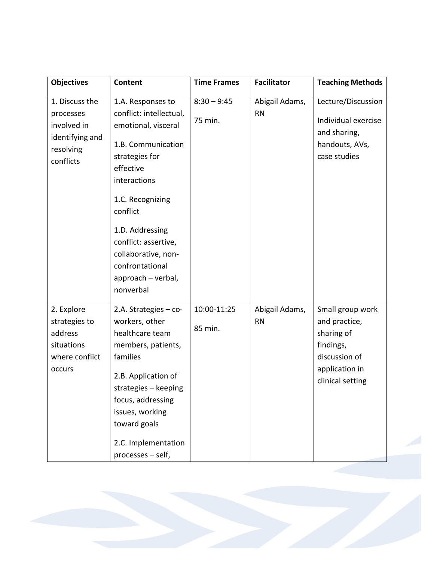| <b>Objectives</b>                                                                       | Content                                                                                                                                                                                                                                                                                          | <b>Time Frames</b>       | <b>Facilitator</b>          | <b>Teaching Methods</b>                                                                                             |
|-----------------------------------------------------------------------------------------|--------------------------------------------------------------------------------------------------------------------------------------------------------------------------------------------------------------------------------------------------------------------------------------------------|--------------------------|-----------------------------|---------------------------------------------------------------------------------------------------------------------|
| 1. Discuss the<br>processes<br>involved in<br>identifying and<br>resolving<br>conflicts | 1.A. Responses to<br>conflict: intellectual,<br>emotional, visceral<br>1.B. Communication<br>strategies for<br>effective<br>interactions<br>1.C. Recognizing<br>conflict<br>1.D. Addressing<br>conflict: assertive,<br>collaborative, non-<br>confrontational<br>approach - verbal,<br>nonverbal | $8:30 - 9:45$<br>75 min. | Abigail Adams,<br><b>RN</b> | Lecture/Discussion<br>Individual exercise<br>and sharing,<br>handouts, AVs,<br>case studies                         |
| 2. Explore<br>strategies to<br>address<br>situations<br>where conflict<br>occurs        | 2.A. Strategies $-$ co-<br>workers, other<br>healthcare team<br>members, patients,<br>families<br>2.B. Application of<br>strategies - keeping<br>focus, addressing<br>issues, working<br>toward goals<br>2.C. Implementation<br>processes - self,                                                | 10:00-11:25<br>85 min.   | Abigail Adams,<br><b>RN</b> | Small group work<br>and practice,<br>sharing of<br>findings,<br>discussion of<br>application in<br>clinical setting |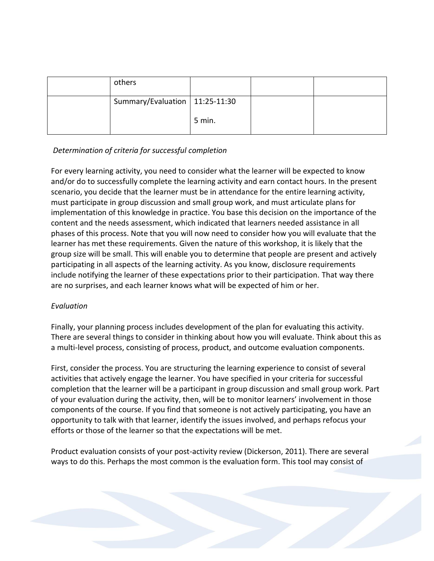| others                           |        |  |
|----------------------------------|--------|--|
| Summary/Evaluation   11:25-11:30 |        |  |
|                                  | 5 min. |  |

# *Determination of criteria for successful completion*

For every learning activity, you need to consider what the learner will be expected to know and/or do to successfully complete the learning activity and earn contact hours. In the present scenario, you decide that the learner must be in attendance for the entire learning activity, must participate in group discussion and small group work, and must articulate plans for implementation of this knowledge in practice. You base this decision on the importance of the content and the needs assessment, which indicated that learners needed assistance in all phases of this process. Note that you will now need to consider how you will evaluate that the learner has met these requirements. Given the nature of this workshop, it is likely that the group size will be small. This will enable you to determine that people are present and actively participating in all aspects of the learning activity. As you know, disclosure requirements include notifying the learner of these expectations prior to their participation. That way there are no surprises, and each learner knows what will be expected of him or her.

# *Evaluation*

Finally, your planning process includes development of the plan for evaluating this activity. There are several things to consider in thinking about how you will evaluate. Think about this as a multi-level process, consisting of process, product, and outcome evaluation components.

First, consider the process. You are structuring the learning experience to consist of several activities that actively engage the learner. You have specified in your criteria for successful completion that the learner will be a participant in group discussion and small group work. Part of your evaluation during the activity, then, will be to monitor learners' involvement in those components of the course. If you find that someone is not actively participating, you have an opportunity to talk with that learner, identify the issues involved, and perhaps refocus your efforts or those of the learner so that the expectations will be met.

Product evaluation consists of your post-activity review (Dickerson, 2011). There are several ways to do this. Perhaps the most common is the evaluation form. This tool may consist of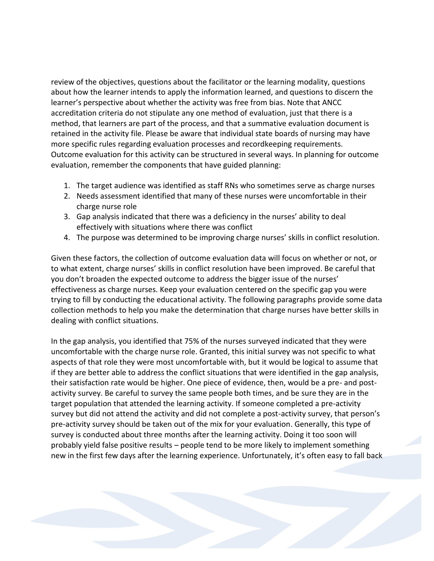review of the objectives, questions about the facilitator or the learning modality, questions about how the learner intends to apply the information learned, and questions to discern the learner's perspective about whether the activity was free from bias. Note that ANCC accreditation criteria do not stipulate any one method of evaluation, just that there is a method, that learners are part of the process, and that a summative evaluation document is retained in the activity file. Please be aware that individual state boards of nursing may have more specific rules regarding evaluation processes and recordkeeping requirements. Outcome evaluation for this activity can be structured in several ways. In planning for outcome evaluation, remember the components that have guided planning:

- 1. The target audience was identified as staff RNs who sometimes serve as charge nurses
- 2. Needs assessment identified that many of these nurses were uncomfortable in their charge nurse role
- 3. Gap analysis indicated that there was a deficiency in the nurses' ability to deal effectively with situations where there was conflict
- 4. The purpose was determined to be improving charge nurses' skills in conflict resolution.

Given these factors, the collection of outcome evaluation data will focus on whether or not, or to what extent, charge nurses' skills in conflict resolution have been improved. Be careful that you don't broaden the expected outcome to address the bigger issue of the nurses' effectiveness as charge nurses. Keep your evaluation centered on the specific gap you were trying to fill by conducting the educational activity. The following paragraphs provide some data collection methods to help you make the determination that charge nurses have better skills in dealing with conflict situations.

In the gap analysis, you identified that 75% of the nurses surveyed indicated that they were uncomfortable with the charge nurse role. Granted, this initial survey was not specific to what aspects of that role they were most uncomfortable with, but it would be logical to assume that if they are better able to address the conflict situations that were identified in the gap analysis, their satisfaction rate would be higher. One piece of evidence, then, would be a pre- and postactivity survey. Be careful to survey the same people both times, and be sure they are in the target population that attended the learning activity. If someone completed a pre-activity survey but did not attend the activity and did not complete a post-activity survey, that person's pre-activity survey should be taken out of the mix for your evaluation. Generally, this type of survey is conducted about three months after the learning activity. Doing it too soon will probably yield false positive results – people tend to be more likely to implement something new in the first few days after the learning experience. Unfortunately, it's often easy to fall back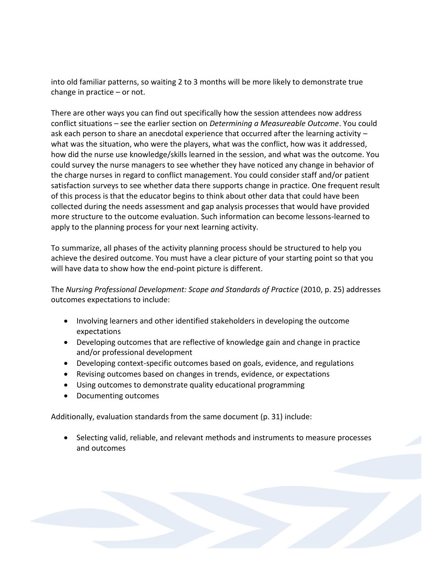into old familiar patterns, so waiting 2 to 3 months will be more likely to demonstrate true change in practice – or not.

There are other ways you can find out specifically how the session attendees now address conflict situations – see the earlier section on *Determining a Measureable Outcome*. You could ask each person to share an anecdotal experience that occurred after the learning activity – what was the situation, who were the players, what was the conflict, how was it addressed, how did the nurse use knowledge/skills learned in the session, and what was the outcome. You could survey the nurse managers to see whether they have noticed any change in behavior of the charge nurses in regard to conflict management. You could consider staff and/or patient satisfaction surveys to see whether data there supports change in practice. One frequent result of this process is that the educator begins to think about other data that could have been collected during the needs assessment and gap analysis processes that would have provided more structure to the outcome evaluation. Such information can become lessons-learned to apply to the planning process for your next learning activity.

To summarize, all phases of the activity planning process should be structured to help you achieve the desired outcome. You must have a clear picture of your starting point so that you will have data to show how the end-point picture is different.

The *Nursing Professional Development: Scope and Standards of Practice* (2010, p. 25) addresses outcomes expectations to include:

- Involving learners and other identified stakeholders in developing the outcome expectations
- Developing outcomes that are reflective of knowledge gain and change in practice and/or professional development
- Developing context-specific outcomes based on goals, evidence, and regulations
- Revising outcomes based on changes in trends, evidence, or expectations
- Using outcomes to demonstrate quality educational programming
- Documenting outcomes

Additionally, evaluation standards from the same document (p. 31) include:

• Selecting valid, reliable, and relevant methods and instruments to measure processes and outcomes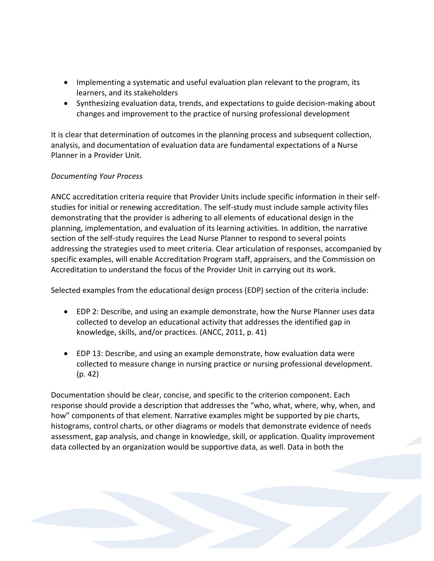- Implementing a systematic and useful evaluation plan relevant to the program, its learners, and its stakeholders
- Synthesizing evaluation data, trends, and expectations to guide decision-making about changes and improvement to the practice of nursing professional development

It is clear that determination of outcomes in the planning process and subsequent collection, analysis, and documentation of evaluation data are fundamental expectations of a Nurse Planner in a Provider Unit.

# *Documenting Your Process*

ANCC accreditation criteria require that Provider Units include specific information in their selfstudies for initial or renewing accreditation. The self-study must include sample activity files demonstrating that the provider is adhering to all elements of educational design in the planning, implementation, and evaluation of its learning activities. In addition, the narrative section of the self-study requires the Lead Nurse Planner to respond to several points addressing the strategies used to meet criteria. Clear articulation of responses, accompanied by specific examples, will enable Accreditation Program staff, appraisers, and the Commission on Accreditation to understand the focus of the Provider Unit in carrying out its work.

Selected examples from the educational design process (EDP) section of the criteria include:

- EDP 2: Describe, and using an example demonstrate, how the Nurse Planner uses data collected to develop an educational activity that addresses the identified gap in knowledge, skills, and/or practices. (ANCC, 2011, p. 41)
- EDP 13: Describe, and using an example demonstrate, how evaluation data were collected to measure change in nursing practice or nursing professional development. (p. 42)

Documentation should be clear, concise, and specific to the criterion component. Each response should provide a description that addresses the "who, what, where, why, when, and how" components of that element. Narrative examples might be supported by pie charts, histograms, control charts, or other diagrams or models that demonstrate evidence of needs assessment, gap analysis, and change in knowledge, skill, or application. Quality improvement data collected by an organization would be supportive data, as well. Data in both the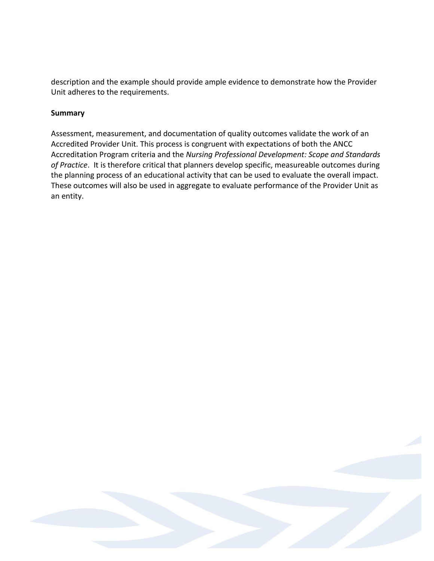description and the example should provide ample evidence to demonstrate how the Provider Unit adheres to the requirements.

## **Summary**

Assessment, measurement, and documentation of quality outcomes validate the work of an Accredited Provider Unit. This process is congruent with expectations of both the ANCC Accreditation Program criteria and the *Nursing Professional Development: Scope and Standards of Practice*. It is therefore critical that planners develop specific, measureable outcomes during the planning process of an educational activity that can be used to evaluate the overall impact. These outcomes will also be used in aggregate to evaluate performance of the Provider Unit as an entity.